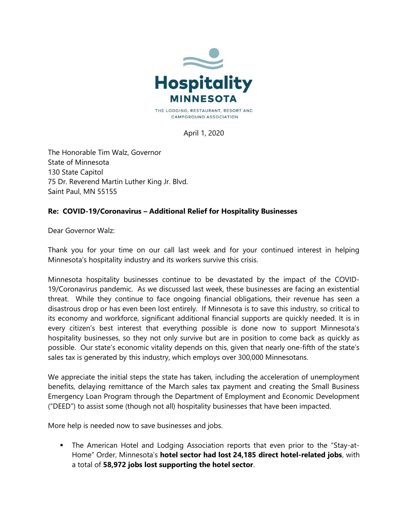

April 1, 2020

The Honorable Tim Walz, Governor State of Minnesota 130 State Capitol 75 Dr. Reverend Martin Luther King Jr. Blvd. Saint Paul, MN 55155

## Re: COVID-19/Coronavirus – Additional Relief for Hospitality Businesses

Dear Governor Walz:

Thank you for your time on our call last week and for your continued interest in helping Minnesota's hospitality industry and its workers survive this crisis.

Minnesota hospitality businesses continue to be devastated by the impact of the COVID-19/Coronavirus pandemic. As we discussed last week, these businesses are facing an existential threat. While they continue to face ongoing financial obligations, their revenue has seen a disastrous drop or has even been lost entirely. If Minnesota is to save this industry, so critical to its economy and workforce, significant additional financial supports are quickly needed. It is in every citizen's best interest that everything possible is done now to support Minnesota's hospitality businesses, so they not only survive but are in position to come back as quickly as possible. Our state's economic vitality depends on this, given that nearly one-fifth of the state's sales tax is generated by this industry, which employs over 300,000 Minnesotans.

We appreciate the initial steps the state has taken, including the acceleration of unemployment benefits, delaying remittance of the March sales tax payment and creating the Small Business Emergency Loan Program through the Department of Employment and Economic Development ("DEED") to assist some (though not all) hospitality businesses that have been impacted.

More help is needed now to save businesses and jobs.

 The American Hotel and Lodging Association reports that even prior to the "Stay-at-Home" Order, Minnesota's hotel sector had lost 24,185 direct hotel-related jobs, with a total of 58,972 jobs lost supporting the hotel sector.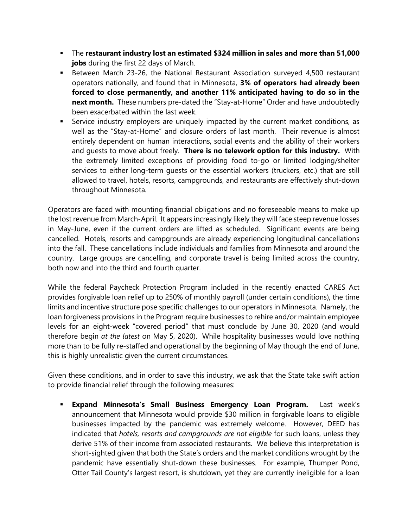- The restaurant industry lost an estimated \$324 million in sales and more than 51,000 jobs during the first 22 days of March.
- Between March 23-26, the National Restaurant Association surveyed 4,500 restaurant operators nationally, and found that in Minnesota, 3% of operators had already been forced to close permanently, and another 11% anticipated having to do so in the next month. These numbers pre-dated the "Stay-at-Home" Order and have undoubtedly been exacerbated within the last week.
- Service industry employers are uniquely impacted by the current market conditions, as well as the "Stay-at-Home" and closure orders of last month. Their revenue is almost entirely dependent on human interactions, social events and the ability of their workers and quests to move about freely. There is no telework option for this industry. With the extremely limited exceptions of providing food to-go or limited lodging/shelter services to either long-term guests or the essential workers (truckers, etc.) that are still allowed to travel, hotels, resorts, campgrounds, and restaurants are effectively shut-down throughout Minnesota.

Operators are faced with mounting financial obligations and no foreseeable means to make up the lost revenue from March-April. It appears increasingly likely they will face steep revenue losses in May-June, even if the current orders are lifted as scheduled. Significant events are being cancelled. Hotels, resorts and campgrounds are already experiencing longitudinal cancellations into the fall. These cancellations include individuals and families from Minnesota and around the country. Large groups are cancelling, and corporate travel is being limited across the country, both now and into the third and fourth quarter.

While the federal Paycheck Protection Program included in the recently enacted CARES Act provides forgivable loan relief up to 250% of monthly payroll (under certain conditions), the time limits and incentive structure pose specific challenges to our operators in Minnesota. Namely, the loan forgiveness provisions in the Program require businesses to rehire and/or maintain employee levels for an eight-week "covered period" that must conclude by June 30, 2020 (and would therefore begin at the latest on May 5, 2020). While hospitality businesses would love nothing more than to be fully re-staffed and operational by the beginning of May though the end of June, this is highly unrealistic given the current circumstances.

Given these conditions, and in order to save this industry, we ask that the State take swift action to provide financial relief through the following measures:

 Expand Minnesota's Small Business Emergency Loan Program. Last week's announcement that Minnesota would provide \$30 million in forgivable loans to eligible businesses impacted by the pandemic was extremely welcome. However, DEED has indicated that hotels, resorts and campgrounds are not eligible for such loans, unless they derive 51% of their income from associated restaurants. We believe this interpretation is short-sighted given that both the State's orders and the market conditions wrought by the pandemic have essentially shut-down these businesses. For example, Thumper Pond, Otter Tail County's largest resort, is shutdown, yet they are currently ineligible for a loan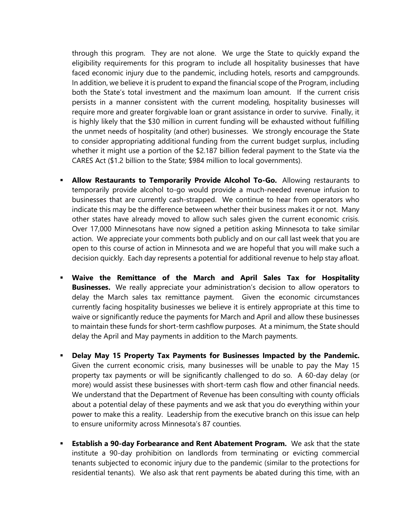through this program. They are not alone. We urge the State to quickly expand the eligibility requirements for this program to include all hospitality businesses that have faced economic injury due to the pandemic, including hotels, resorts and campgrounds. In addition, we believe it is prudent to expand the financial scope of the Program, including both the State's total investment and the maximum loan amount. If the current crisis persists in a manner consistent with the current modeling, hospitality businesses will require more and greater forgivable loan or grant assistance in order to survive. Finally, it is highly likely that the \$30 million in current funding will be exhausted without fulfilling the unmet needs of hospitality (and other) businesses. We strongly encourage the State to consider appropriating additional funding from the current budget surplus, including whether it might use a portion of the \$2.187 billion federal payment to the State via the CARES Act (\$1.2 billion to the State; \$984 million to local governments).

- **Allow Restaurants to Temporarily Provide Alcohol To-Go.** Allowing restaurants to temporarily provide alcohol to-go would provide a much-needed revenue infusion to businesses that are currently cash-strapped. We continue to hear from operators who indicate this may be the difference between whether their business makes it or not. Many other states have already moved to allow such sales given the current economic crisis. Over 17,000 Minnesotans have now signed a petition asking Minnesota to take similar action. We appreciate your comments both publicly and on our call last week that you are open to this course of action in Minnesota and we are hopeful that you will make such a decision quickly. Each day represents a potential for additional revenue to help stay afloat.
- Waive the Remittance of the March and April Sales Tax for Hospitality **Businesses.** We really appreciate your administration's decision to allow operators to delay the March sales tax remittance payment. Given the economic circumstances currently facing hospitality businesses we believe it is entirely appropriate at this time to waive or significantly reduce the payments for March and April and allow these businesses to maintain these funds for short-term cashflow purposes. At a minimum, the State should delay the April and May payments in addition to the March payments.
- Delay May 15 Property Tax Payments for Businesses Impacted by the Pandemic. Given the current economic crisis, many businesses will be unable to pay the May 15 property tax payments or will be significantly challenged to do so. A 60-day delay (or more) would assist these businesses with short-term cash flow and other financial needs. We understand that the Department of Revenue has been consulting with county officials about a potential delay of these payments and we ask that you do everything within your power to make this a reality. Leadership from the executive branch on this issue can help to ensure uniformity across Minnesota's 87 counties.
- **Establish a 90-day Forbearance and Rent Abatement Program.** We ask that the state institute a 90-day prohibition on landlords from terminating or evicting commercial tenants subjected to economic injury due to the pandemic (similar to the protections for residential tenants). We also ask that rent payments be abated during this time, with an